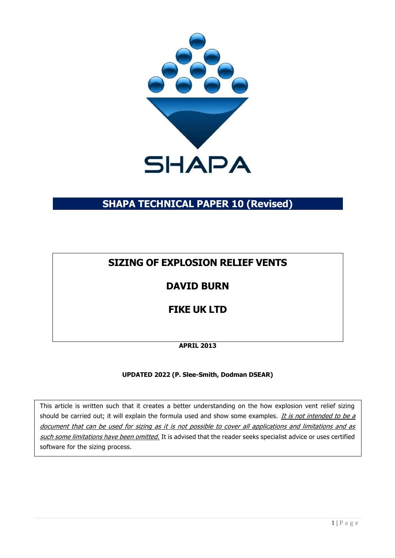

# **SHAPA TECHNICAL PAPER 10 (Revised)**

# **SIZING OF EXPLOSION RELIEF VENTS**

# **DAVID BURN**

# **FIKE UK LTD**

# **APRIL 2013**

# **UPDATED 2022 (P. Slee-Smith, Dodman DSEAR)**

This article is written such that it creates a better understanding on the how explosion vent relief sizing should be carried out; it will explain the formula used and show some examples. It is not intended to be a document that can be used for sizing as it is not possible to cover all applications and limitations and as such some limitations have been omitted. It is advised that the reader seeks specialist advice or uses certified software for the sizing process.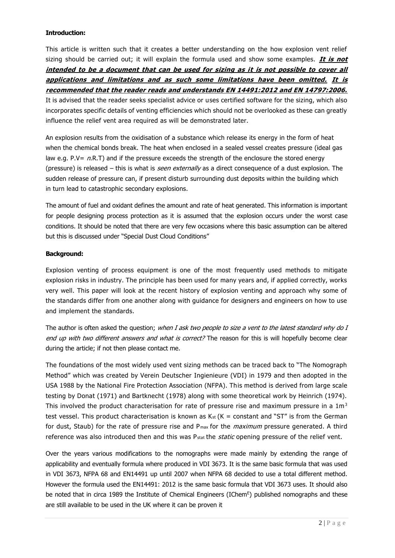### **Introduction:**

This article is written such that it creates a better understanding on the how explosion vent relief sizing should be carried out; it will explain the formula used and show some examples. **It is not intended to be a document that can be used for sizing as it is not possible to cover all applications and limitations and as such some limitations have been omitted. It is recommended that the reader reads and understands EN 14491:2012 and EN 14797:2006.** It is advised that the reader seeks specialist advice or uses certified software for the sizing, which also incorporates specific details of venting efficiencies which should not be overlooked as these can greatly influence the relief vent area required as will be demonstrated later.

An explosion results from the oxidisation of a substance which release its energy in the form of heat when the chemical bonds break. The heat when enclosed in a sealed vessel creates pressure (ideal gas law e.g. P.V=  $nR.T$ ) and if the pressure exceeds the strength of the enclosure the stored energy (pressure) is released – this is what is *seen externally* as a direct consequence of a dust explosion. The sudden release of pressure can, if present disturb surrounding dust deposits within the building which in turn lead to catastrophic secondary explosions.

The amount of fuel and oxidant defines the amount and rate of heat generated. This information is important for people designing process protection as it is assumed that the explosion occurs under the worst case conditions. It should be noted that there are very few occasions where this basic assumption can be altered but this is discussed under "Special Dust Cloud Conditions"

#### **Background:**

Explosion venting of process equipment is one of the most frequently used methods to mitigate explosion risks in industry. The principle has been used for many years and, if applied correctly, works very well. This paper will look at the recent history of explosion venting and approach why some of the standards differ from one another along with guidance for designers and engineers on how to use and implement the standards.

The author is often asked the question; when I ask two people to size a vent to the latest standard why do I end up with two different answers and what is correct? The reason for this is will hopefully become clear during the article; if not then please contact me.

The foundations of the most widely used vent sizing methods can be traced back to "The Nomograph Method" which was created by Verein Deutscher Ingienieure (VDI) in 1979 and then adopted in the USA 1988 by the National Fire Protection Association (NFPA). This method is derived from large scale testing by Donat (1971) and Bartknecht (1978) along with some theoretical work by Heinrich (1974). This involved the product characterisation for rate of pressure rise and maximum pressure in a  $1m<sup>3</sup>$ test vessel. This product characterisation is known as  $K_{st}$  (K = constant and "ST" is from the German for dust, Staub) for the rate of pressure rise and  $P<sub>max</sub>$  for the *maximum* pressure generated. A third reference was also introduced then and this was P<sub>stat</sub> the *static* opening pressure of the relief vent.

Over the years various modifications to the nomographs were made mainly by extending the range of applicability and eventually formula where produced in VDI 3673. It is the same basic formula that was used in VDI 3673, NFPA 68 and EN14491 up until 2007 when NFPA 68 decided to use a total different method. However the formula used the EN14491: 2012 is the same basic formula that VDI 3673 uses. It should also be noted that in circa 1989 the Institute of Chemical Engineers (IChem<sup>E</sup>) published nomographs and these are still available to be used in the UK where it can be proven it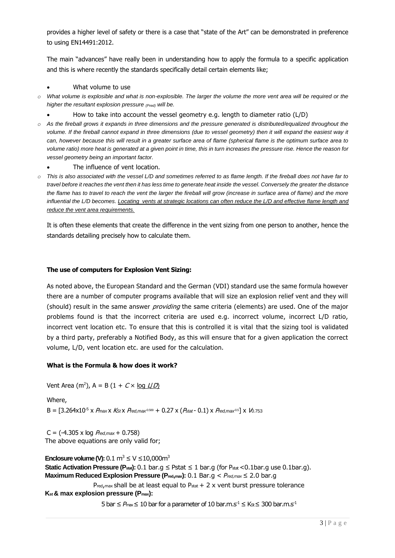provides a higher level of safety or there is a case that "state of the Art" can be demonstrated in preference to using EN14491:2012.

The main "advances" have really been in understanding how to apply the formula to a specific application and this is where recently the standards specifically detail certain elements like;

- What volume to use
- *o What volume is explosible and what is non-explosible. The larger the volume the more vent area will be required or the higher the resultant explosion pressure (Pred) will be.*
	- How to take into account the vessel geometry e.g. length to diameter ratio (L/D)
- *o As the fireball grows it expands in three dimensions and the pressure generated is distributed/equalized throughout the volume. If the fireball cannot expand in three dimensions (due to vessel geometry) then it will expand the easiest way it can, however because this will result in a greater surface area of flame (spherical flame is the optimum surface area to volume ratio) more heat is generated at a given point in time, this in turn increases the pressure rise. Hence the reason for vessel geometry being an important factor.*
	- The influence of vent location.
- *o This is also associated with the vessel L/D and sometimes referred to as flame length. If the fireball does not have far to travel before it reaches the vent then it has less time to generate heat inside the vessel. Conversely the greater the distance the flame has to travel to reach the vent the larger the fireball will grow (increase in surface area of flame) and the more influential the L/D becomes. Locating vents at strategic locations can often reduce the L/D and effective flame length and reduce the vent area requirements.*

It is often these elements that create the difference in the vent sizing from one person to another, hence the standards detailing precisely how to calculate them.

#### **The use of computers for Explosion Vent Sizing:**

As noted above, the European Standard and the German (VDI) standard use the same formula however there are a number of computer programs available that will size an explosion relief vent and they will (should) result in the same answer providing the same criteria (elements) are used. One of the major problems found is that the incorrect criteria are used e.g. incorrect volume, incorrect L/D ratio, incorrect vent location etc. To ensure that this is controlled it is vital that the sizing tool is validated by a third party, preferably a Notified Body, as this will ensure that for a given application the correct volume, L/D, vent location etc. are used for the calculation.

#### **What is the Formula & how does it work?**

Vent Area (m<sup>2</sup>), A = B (1 + *C* × <u>log *L|D*)</u>

Where,  $B = [3.264 \times 10^{-5} \times P_{max} \times K_{s} \times P_{red,max} \times 0.509 + 0.27 \times (P_{stat} - 0.1) \times P_{red,max} \times 0.51] \times 10^{-5} \times 10^{-5} \times 10^{-5} \times 10^{-5} \times 10^{-5} \times 10^{-5} \times 10^{-5} \times 10^{-5} \times 10^{-5} \times 10^{-5} \times 10^{-5} \times 10^{-5} \times 10^{-5} \times 10^{-5} \times 10^{-5} \times 10^{-5} \times 10^{-5} \times 10^{-5$ 

C = (-4.305 x log P*red,max* + 0.758) The above equations are only valid for;

**Enclosure volume (V):**  $0.1 \text{ m}^3 \le V \le 10,000 \text{ m}^3$ **Static Activation Pressure (P<sub>stat</sub>):** 0.1 bar.g ≤ Pstat ≤ 1 bar.g (for P<sub>stat</sub> <0.1bar.g use 0.1bar.g). **Maximum Reduced Explosion Pressure (Pred,max):** 0.1 Bar.g < *Pred,max* ≤ 2.0 bar.g  $P_{\text{red,max}}$  shall be at least equal to  $P_{\text{stat}} + 2 \times$  vent burst pressure tolerance

**Kst & max explosion pressure (Pmax):**

 $5$  bar  $\leq$  *P*<sub>max</sub>  $\leq$  10 bar for a parameter of 10 bar.m.s<sup>-1</sup>  $\leq$  Ks  $\leq$  300 bar.m.s<sup>-1</sup>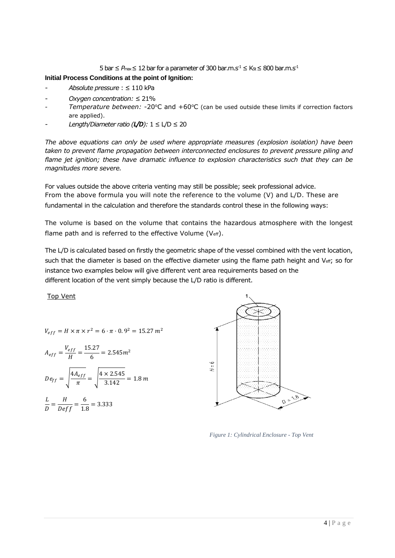5 bar ≤  $P_{\text{max}}$  ≤ 12 bar for a parameter of 300 bar.m.s<sup>-1</sup> ≤ Ks ≤ 800 bar.m.s<sup>-1</sup>

### **Initial Process Conditions at the point of Ignition:**

- *Absolute pressure* : ≤ 110 kPa
- *Oxygen concentration:* ≤ 21%
- *Temperature between:* -20°C and +60°C (can be used outside these limits if correction factors are applied).
- *Length/Diameter ratio (* $L/D$ *):*  $1 \le L/D \le 20$

*The above equations can only be used where appropriate measures (explosion isolation) have been taken to prevent flame propagation between interconnected enclosures to prevent pressure piling and flame jet ignition; these have dramatic influence to explosion characteristics such that they can be magnitudes more severe.*

For values outside the above criteria venting may still be possible; seek professional advice. From the above formula you will note the reference to the volume (V) and L/D. These are fundamental in the calculation and therefore the standards control these in the following ways:

The volume is based on the volume that contains the hazardous atmosphere with the longest flame path and is referred to the effective Volume (Veff).

The L/D is calculated based on firstly the geometric shape of the vessel combined with the vent location, such that the diameter is based on the effective diameter using the flame path height and Veff; so for instance two examples below will give different vent area requirements based on the different location of the vent simply because the L/D ratio is different.

Top Vent

$$
V_{eff} = H \times \pi \times r^2 = 6 \cdot \pi \cdot 0.9^2 = 15.27 m^2
$$

$$
A_{eff} = \frac{V_{eff}}{H} = \frac{15.27}{6} = 2.545m^2
$$
  

$$
De_{ff} = \sqrt{\frac{4A_{eff}}{\pi}} = \sqrt{\frac{4 \times 2.545}{3.142}} = 1.8 m
$$
  

$$
\frac{L}{D} = \frac{H}{Deff} = \frac{6}{1.8} = 3.333
$$



*Figure 1: Cylindrical Enclosure - Top Vent*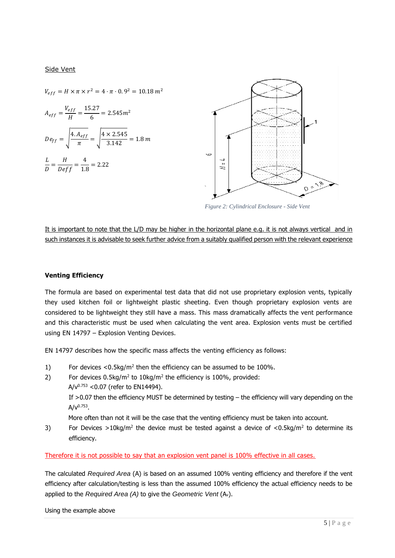#### Side Vent

 $V_{eff} = H \times \pi \times r^2 = 4 \cdot \pi \cdot 0.9^2 = 10.18 \, m^2$  $A_{eff} = \frac{V_{eff}}{H}$  $\frac{f_{eff}}{H} = \frac{15.27}{6}$  $\frac{m}{6}$  = 2.545 $m^2$  $De_{ff} = \left| \frac{4.A_{eff}}{\pi} \right|$  $\frac{A_{eff}}{\pi} = \sqrt{\frac{4 \times 2.545}{3.142}} = 1.8 \ m$ L  $\frac{L}{D} = \frac{H}{Deff} = \frac{4}{1.8}$  $\frac{1}{1.8}$  = 2.22



*Figure 2: Cylindrical Enclosure - Side Vent*

It is important to note that the L/D may be higher in the horizontal plane e.g. it is not always vertical and in such instances it is advisable to seek further advice from a suitably qualified person with the relevant experience

#### **Venting Efficiency**

The formula are based on experimental test data that did not use proprietary explosion vents, typically they used kitchen foil or lightweight plastic sheeting. Even though proprietary explosion vents are considered to be lightweight they still have a mass. This mass dramatically affects the vent performance and this characteristic must be used when calculating the vent area. Explosion vents must be certified using EN 14797 – Explosion Venting Devices.

EN 14797 describes how the specific mass affects the venting efficiency as follows:

- 1) For devices  $<$  0.5kg/m<sup>2</sup> then the efficiency can be assumed to be 100%.
- 2) For devices  $0.5 \text{kg/m}^2$  to  $10 \text{kg/m}^2$  the efficiency is 100%, provided:  $A/v^{0.753}$  < 0.07 (refer to EN14494).

If >0.07 then the efficiency MUST be determined by testing – the efficiency will vary depending on the A/v<sup>0.753</sup>.

More often than not it will be the case that the venting efficiency must be taken into account.

3) For Devices >10kg/m<sup>2</sup> the device must be tested against a device of <0.5kg/m<sup>2</sup> to determine its efficiency.

Therefore it is not possible to say that an explosion vent panel is 100% effective in all cases.

The calculated *Required Area* (A) is based on an assumed 100% venting efficiency and therefore if the vent efficiency after calculation/testing is less than the assumed 100% efficiency the actual efficiency needs to be applied to the *Required Area (A)* to give the *Geometric Vent* (Av).

Using the example above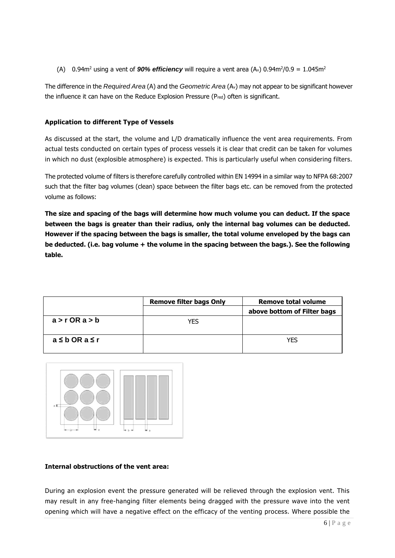(A)  $0.94$ m<sup>2</sup> using a vent of **90% efficiency** will require a vent area (A<sub>v</sub>)  $0.94$ m<sup>2</sup>/0.9 = 1.045m<sup>2</sup>

The difference in the *Required Area* (A) and the *Geometric Area* (Av) may not appear to be significant however the influence it can have on the Reduce Explosion Pressure (Pred) often is significant.

## **Application to different Type of Vessels**

As discussed at the start, the volume and L/D dramatically influence the vent area requirements. From actual tests conducted on certain types of process vessels it is clear that credit can be taken for volumes in which no dust (explosible atmosphere) is expected. This is particularly useful when considering filters.

The protected volume of filters is therefore carefully controlled within EN 14994 in a similar way to NFPA 68:2007 such that the filter bag volumes (clean) space between the filter bags etc. can be removed from the protected volume as follows:

**The size and spacing of the bags will determine how much volume you can deduct. If the space between the bags is greater than their radius, only the internal bag volumes can be deducted. However if the spacing between the bags is smaller, the total volume enveloped by the bags can be deducted. (i.e. bag volume + the volume in the spacing between the bags.). See the following table.**

|                    | <b>Remove filter bags Only</b> | <b>Remove total volume</b>  |
|--------------------|--------------------------------|-----------------------------|
|                    |                                | above bottom of Filter bags |
| $a > r$ OR $a > b$ | <b>YES</b>                     |                             |
| a≤bORa≤r           |                                | YFS                         |



#### **Internal obstructions of the vent area:**

During an explosion event the pressure generated will be relieved through the explosion vent. This may result in any free-hanging filter elements being dragged with the pressure wave into the vent opening which will have a negative effect on the efficacy of the venting process. Where possible the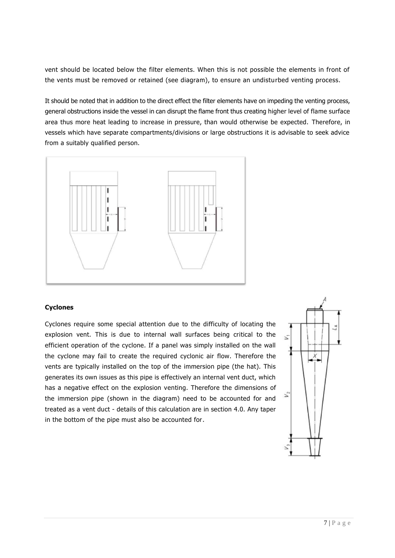vent should be located below the filter elements. When this is not possible the elements in front of the vents must be removed or retained (see diagram), to ensure an undisturbed venting process.

It should be noted that in addition to the direct effect the filter elements have on impeding the venting process, general obstructions inside the vessel in can disrupt the flame front thus creating higher level of flame surface area thus more heat leading to increase in pressure, than would otherwise be expected. Therefore, in vessels which have separate compartments/divisions or large obstructions it is advisable to seek advice from a suitably qualified person.



#### **Cyclones**

Cyclones require some special attention due to the difficulty of locating the explosion vent. This is due to internal wall surfaces being critical to the efficient operation of the cyclone. If a panel was simply installed on the wall the cyclone may fail to create the required cyclonic air flow. Therefore the vents are typically installed on the top of the immersion pipe (the hat). This generates its own issues as this pipe is effectively an internal vent duct, which has a negative effect on the explosion venting. Therefore the dimensions of the immersion pipe (shown in the diagram) need to be accounted for and treated as a vent duct - details of this calculation are in section 4.0. Any taper in the bottom of the pipe must also be accounted for.

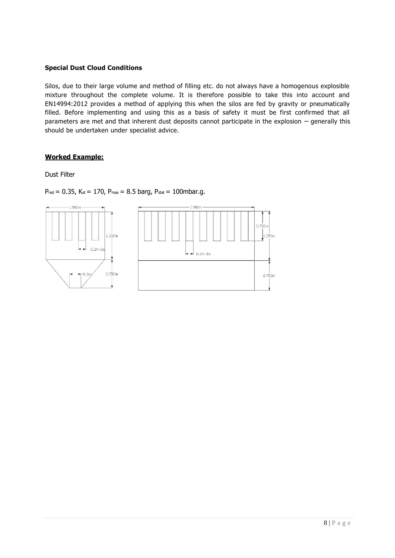## **Special Dust Cloud Conditions**

Silos, due to their large volume and method of filling etc. do not always have a homogenous explosible mixture throughout the complete volume. It is therefore possible to take this into account and EN14994:2012 provides a method of applying this when the silos are fed by gravity or pneumatically filled. Before implementing and using this as a basis of safety it must be first confirmed that all parameters are met and that inherent dust deposits cannot participate in the explosion – generally this should be undertaken under specialist advice.

## **Worked Example:**

Dust Filter

 $P_{\text{red}} = 0.35$ , Kst = 170, P<sub>max</sub> = 8.5 barg, Pstat = 100mbar.g.

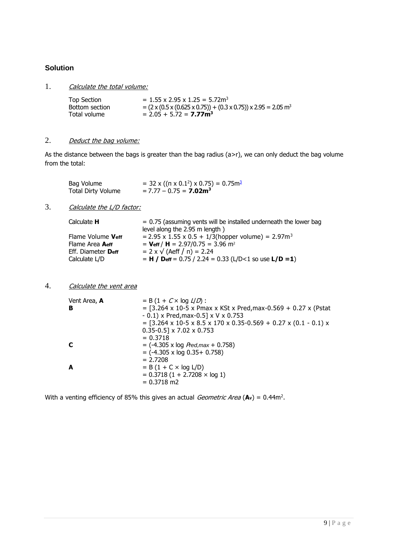# **Solution**

1. Calculate the total volume:

| Top Section    | $= 1.55$ x 2.95 x 1.25 = 5.72m <sup>3</sup>                                                        |
|----------------|----------------------------------------------------------------------------------------------------|
| Bottom section | $= (2 \times (0.5 \times (0.625 \times 0.75)) + (0.3 \times 0.75)) \times 2.95 = 2.05 \text{ m}^3$ |
| Total volume   | $= 2.05 + 5.72 = 7.77$ m <sup>3</sup>                                                              |

## 2. Deduct the bag volume:

As the distance between the bags is greater than the bag radius (a>r), we can only deduct the bag volume from the total:

| Bag Volume                | $=$ 32 x (( $\pi$ x 0.1 <sup>2</sup> ) x 0.75) = 0.75m <sup>3</sup> |
|---------------------------|---------------------------------------------------------------------|
| <b>Total Dirty Volume</b> | $= 7.77 - 0.75 = 7.02$ m <sup>3</sup>                               |

# 3. Calculate the L/D factor:

| Calculate <b>H</b> | $= 0.75$ (assuming vents will be installed underneath the lower bag        |
|--------------------|----------------------------------------------------------------------------|
|                    | level along the 2.95 m length)                                             |
| Flame Volume Veff  | $= 2.95 \times 1.55 \times 0.5 + 1/3$ (hopper volume) = 2.97m <sup>3</sup> |
| Flame Area Aeff    | = $V_{\text{eff}}/H$ = 2.97/0.75 = 3.96 m <sup>2</sup>                     |
| Eff. Diameter Deff | $= 2 \times \sqrt{(Aeff / \pi)} = 2.24$                                    |
| Calculate L/D      | $= H /$ Deff = 0.75 / 2.24 = 0.33 (L/D<1 so use L/D = 1)                   |

#### 4. Calculate the vent area

| Vent Area, A<br>в | $= B (1 + C \times \log L/D)$ :<br>$=$ [3.264 x 10-5 x Pmax x KSt x Pred, max-0.569 + 0.27 x (Pstat<br>$-0.1$ ) x Pred, max $-0.5$ ] x V x 0.753<br>$=$ [3.264 x 10-5 x 8.5 x 170 x 0.35-0.569 + 0.27 x (0.1 - 0.1) x<br>$0.35 - 0.5$ ] x 7.02 x 0.753<br>$= 0.3718$ |
|-------------------|----------------------------------------------------------------------------------------------------------------------------------------------------------------------------------------------------------------------------------------------------------------------|
|                   | $=$ (-4.305 x log <i>Pred, max</i> + 0.758)<br>$=$ (-4.305 x log 0.35+ 0.758)                                                                                                                                                                                        |
| A                 | $= 2.7208$<br>$= B(1 + C \times log L/D)$<br>$= 0.3718(1 + 2.7208 \times log 1)$<br>$= 0.3718$ m2                                                                                                                                                                    |

With a venting efficiency of 85% this gives an actual *Geometric Area* (Av) = 0.44m<sup>2</sup>.